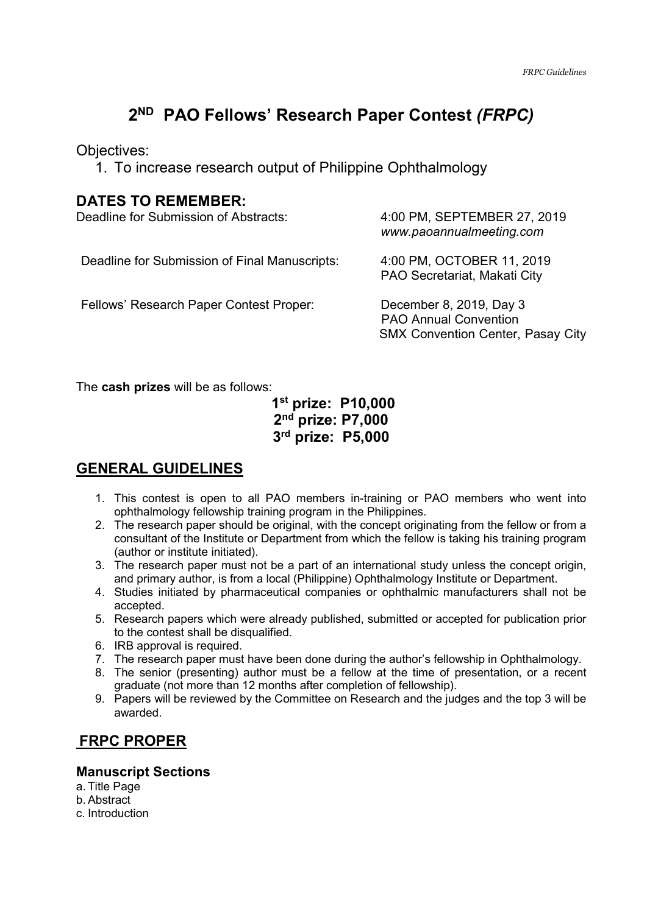# **2 ND PAO Fellows' Research Paper Contest** *(FRPC)*

Objectives:

1. To increase research output of Philippine Ophthalmology

### **DATES TO REMEMBER:**

| Deadline for Submission of Abstracts:         | 4:00 PM, SEPTEMBER 27, 2019<br>www.paoannualmeeting.com                                             |
|-----------------------------------------------|-----------------------------------------------------------------------------------------------------|
| Deadline for Submission of Final Manuscripts: | 4:00 PM, OCTOBER 11, 2019<br>PAO Secretariat, Makati City                                           |
| Fellows' Research Paper Contest Proper:       | December 8, 2019, Day 3<br><b>PAO Annual Convention</b><br><b>SMX Convention Center, Pasay City</b> |

The **cash prizes** will be as follows:

# **1st prize: P10,000 2 nd prize: P7,000 3 rd prize: P5,000**

# **GENERAL GUIDELINES**

- 1. This contest is open to all PAO members in-training or PAO members who went into ophthalmology fellowship training program in the Philippines.
- 2. The research paper should be original, with the concept originating from the fellow or from a consultant of the Institute or Department from which the fellow is taking his training program (author or institute initiated).
- 3. The research paper must not be a part of an international study unless the concept origin, and primary author, is from a local (Philippine) Ophthalmology Institute or Department.
- 4. Studies initiated by pharmaceutical companies or ophthalmic manufacturers shall not be accepted.
- 5. Research papers which were already published, submitted or accepted for publication prior to the contest shall be disqualified.
- 6. IRB approval is required.
- 7. The research paper must have been done during the author's fellowship in Ophthalmology.
- 8. The senior (presenting) author must be a fellow at the time of presentation, or a recent graduate (not more than 12 months after completion of fellowship).
- 9. Papers will be reviewed by the Committee on Research and the judges and the top 3 will be awarded.

# **FRPC PROPER**

### **Manuscript Sections**

- a. Title Page
- b. Abstract
- c. Introduction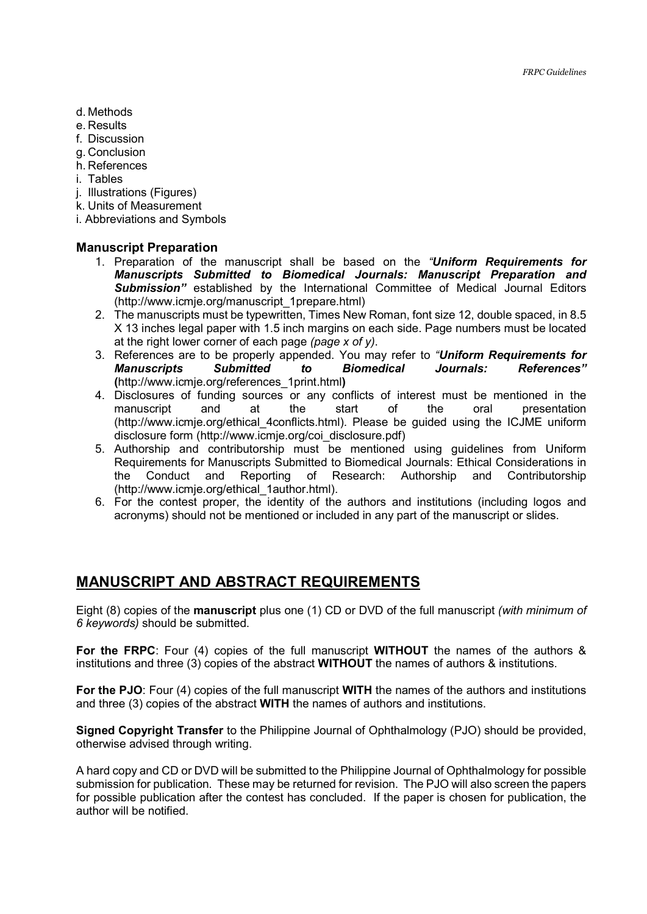- d. Methods
- e. Results
- f. Discussion
- g. Conclusion
- h. References
- i. Tables
- j. Illustrations (Figures)
- k. Units of Measurement
- i. Abbreviations and Symbols

#### **Manuscript Preparation**

- 1. Preparation of the manuscript shall be based on the *"Uniform Requirements for Manuscripts Submitted to Biomedical Journals: Manuscript Preparation and*  **Submission"** established by the International Committee of Medical Journal Editors (http://www.icmje.org/manuscript\_1prepare.html)
- 2. The manuscripts must be typewritten, Times New Roman, font size 12, double spaced, in 8.5 X 13 inches legal paper with 1.5 inch margins on each side. Page numbers must be located at the right lower corner of each page *(page x of y)*.
- 3. References are to be properly appended. You may refer to *"Uniform Requirements for Manuscripts Submitted to Biomedical Journals: References"* **(**http://www.icmje.org/references\_1print.html**)**
- 4. Disclosures of funding sources or any conflicts of interest must be mentioned in the manuscript and at the start of the oral presentation (http://www.icmje.org/ethical\_4conflicts.html). Please be guided using the ICJME uniform disclosure form (http://www.icmje.org/coi\_disclosure.pdf)
- 5. Authorship and contributorship must be mentioned using guidelines from Uniform Requirements for Manuscripts Submitted to Biomedical Journals: Ethical Considerations in the Conduct and Reporting of Research: Authorship and Contributorship (http://www.icmje.org/ethical\_1author.html).
- 6. For the contest proper, the identity of the authors and institutions (including logos and acronyms) should not be mentioned or included in any part of the manuscript or slides.

### **MANUSCRIPT AND ABSTRACT REQUIREMENTS**

Eight (8) copies of the **manuscript** plus one (1) CD or DVD of the full manuscript *(with minimum of 6 keywords)* should be submitted.

**For the FRPC**: Four (4) copies of the full manuscript **WITHOUT** the names of the authors & institutions and three (3) copies of the abstract **WITHOUT** the names of authors & institutions.

**For the PJO**: Four (4) copies of the full manuscript **WITH** the names of the authors and institutions and three (3) copies of the abstract **WITH** the names of authors and institutions.

**Signed Copyright Transfer** to the Philippine Journal of Ophthalmology (PJO) should be provided, otherwise advised through writing.

A hard copy and CD or DVD will be submitted to the Philippine Journal of Ophthalmology for possible submission for publication. These may be returned for revision. The PJO will also screen the papers for possible publication after the contest has concluded. If the paper is chosen for publication, the author will be notified.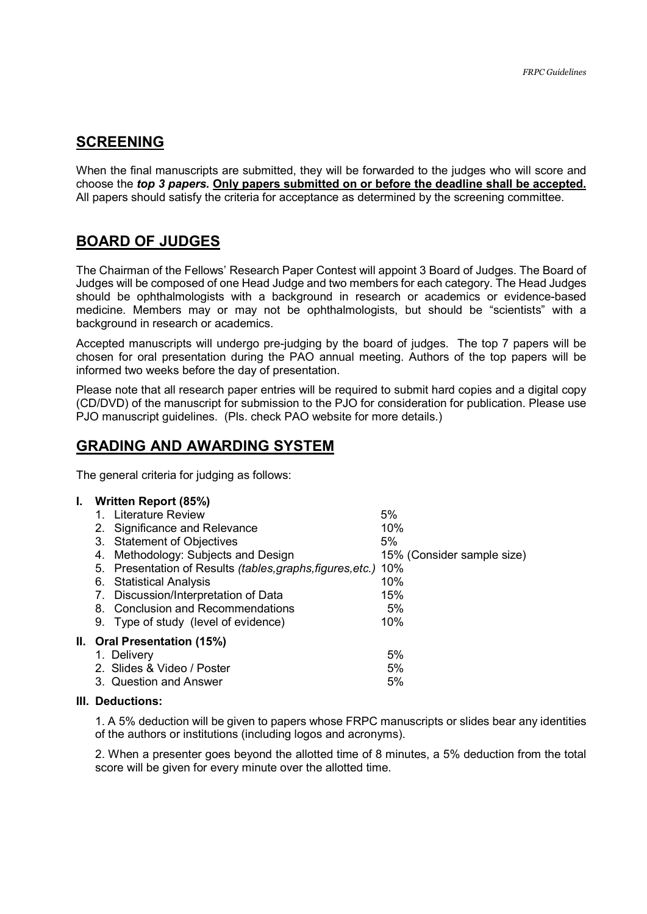#### **SCREENING**

When the final manuscripts are submitted, they will be forwarded to the judges who will score and choose the *top 3 papers.* **Only papers submitted on or before the deadline shall be accepted.**  All papers should satisfy the criteria for acceptance as determined by the screening committee.

### **BOARD OF JUDGES**

The Chairman of the Fellows' Research Paper Contest will appoint 3 Board of Judges. The Board of Judges will be composed of one Head Judge and two members for each category. The Head Judges should be ophthalmologists with a background in research or academics or evidence-based medicine. Members may or may not be ophthalmologists, but should be "scientists" with a background in research or academics.

Accepted manuscripts will undergo pre-judging by the board of judges. The top 7 papers will be chosen for oral presentation during the PAO annual meeting. Authors of the top papers will be informed two weeks before the day of presentation.

Please note that all research paper entries will be required to submit hard copies and a digital copy (CD/DVD) of the manuscript for submission to the PJO for consideration for publication. Please use PJO manuscript guidelines. (Pls. check PAO website for more details.)

#### **GRADING AND AWARDING SYSTEM**

The general criteria for judging as follows:

#### **I. Written Report (85%)**  1. Literature Review 6% 2. Significance and Relevance 10% 3. Statement of Objectives 6% 4. Methodology: Subjects and Design 15% (Consider sample size) 5. Presentation of Results *(tables,graphs,figures,etc.)* 10% 6. Statistical Analysis 10% 7. Discussion/Interpretation of Data 15% 8. Conclusion and Recommendations 6% 9. Type of study (level of evidence) 10% **II. Oral Presentation (15%)**  1. Delivery 5% 2. Slides & Video / Poster 6% 3. Question and Answer 5%

#### **III. Deductions:**

1. A 5% deduction will be given to papers whose FRPC manuscripts or slides bear any identities of the authors or institutions (including logos and acronyms).

2. When a presenter goes beyond the allotted time of 8 minutes, a 5% deduction from the total score will be given for every minute over the allotted time.